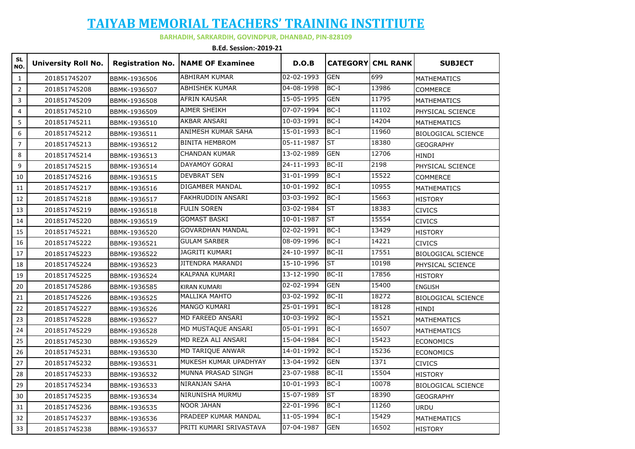### **TAIYAB MEMORIAL TEACHERS' TRAINING INSTITIUTE**

#### **BARHADIH, SARKARDIH, GOVINDPUR, DHANBAD, PIN-828109**

**B.Ed. Session:-2019-21** 

| <b>SL</b><br>NO.        | <b>University Roll No.</b> |                     | <b>Registration No. NAME OF Examinee</b> | D.O.B      |                          | <b>CATEGORY CML RANK</b> | <b>SUBJECT</b>            |
|-------------------------|----------------------------|---------------------|------------------------------------------|------------|--------------------------|--------------------------|---------------------------|
| $\mathbf{1}$            | 201851745207               | BBMK-1936506        | <b>ABHIRAM KUMAR</b>                     | 02-02-1993 | <b>GEN</b>               | 699                      | <b>MATHEMATICS</b>        |
| $\sqrt{2}$              | 201851745208               | BBMK-1936507        | <b>ABHISHEK KUMAR</b>                    | 04-08-1998 | $BC-I$                   | 13986                    | <b>COMMERCE</b>           |
| $\overline{\mathbf{3}}$ | 201851745209               | BBMK-1936508        | <b>AFRIN KAUSAR</b>                      | 15-05-1995 | <b>GEN</b>               | 11795                    | <b>MATHEMATICS</b>        |
| $\overline{4}$          | 201851745210               | BBMK-1936509        | AJMER SHEIKH                             | 07-07-1994 | $BC-I$                   | 11102                    | PHYSICAL SCIENCE          |
| 5                       | 201851745211               | BBMK-1936510        | <b>AKBAR ANSARI</b>                      | 10-03-1991 | $BC-I$                   | 14204                    | <b>MATHEMATICS</b>        |
| 6                       | 201851745212               | BBMK-1936511        | ANIMESH KUMAR SAHA                       | 15-01-1993 | $BC-I$                   | 11960                    | <b>BIOLOGICAL SCIENCE</b> |
| $\overline{7}$          | 201851745213               | BBMK-1936512        | <b>BINITA HEMBROM</b>                    | 05-11-1987 | ST                       | 18380                    | <b>GEOGRAPHY</b>          |
| 8                       | 201851745214               | BBMK-1936513        | <b>CHANDAN KUMAR</b>                     | 13-02-1989 | <b>GEN</b>               | 12706                    | HINDI                     |
| 9                       | 201851745215               | BBMK-1936514        | DAYAMOY GORAI                            | 24-11-1993 | BC-II                    | 2198                     | PHYSICAL SCIENCE          |
| 10                      | 201851745216               | BBMK-1936515        | <b>DEVBRAT SEN</b>                       | 31-01-1999 | $BC-I$                   | 15522                    | <b>COMMERCE</b>           |
| 11                      | 201851745217               | BBMK-1936516        | DIGAMBER MANDAL                          | 10-01-1992 | $BC-I$                   | 10955                    | <b>MATHEMATICS</b>        |
| 12                      | 201851745218               | BBMK-1936517        | FAKHRUDDIN ANSARI                        | 03-03-1992 | $BC-I$                   | 15663                    | <b>HISTORY</b>            |
| 13                      | 201851745219               | BBMK-1936518        | <b>FULIN SOREN</b>                       | 03-02-1984 | ST                       | 18383                    | <b>CIVICS</b>             |
| 14                      | 201851745220               | BBMK-1936519        | <b>GOMAST BASKI</b>                      | 10-01-1987 | ST                       | 15554                    | <b>CIVICS</b>             |
| 15                      | 201851745221               | BBMK-1936520        | <b>GOVARDHAN MANDAL</b>                  | 02-02-1991 | $BC-I$                   | 13429                    | <b>HISTORY</b>            |
| 16                      | 201851745222               | BBMK-1936521        | <b>GULAM SARBER</b>                      | 08-09-1996 | $BC-I$                   | 14221                    | <b>CIVICS</b>             |
| 17                      | 201851745223               | BBMK-1936522        | <b>JAGRITI KUMARI</b>                    | 24-10-1997 | $BC-II$                  | 17551                    | <b>BIOLOGICAL SCIENCE</b> |
| 18                      | 201851745224               | BBMK-1936523        | JITENDRA MARANDI                         | 15-10-1996 | $\overline{\mathsf{ST}}$ | 10198                    | PHYSICAL SCIENCE          |
| 19                      | 201851745225               | BBMK-1936524        | KALPANA KUMARI                           | 13-12-1990 | $BC-II$                  | 17856                    | <b>HISTORY</b>            |
| 20                      | 201851745286               | BBMK-1936585        | <b>KIRAN KUMARI</b>                      | 02-02-1994 | <b>GEN</b>               | 15400                    | <b>ENGLISH</b>            |
| 21                      | 201851745226               | BBMK-1936525        | <b>MALLIKA MAHTO</b>                     | 03-02-1992 | BC-II                    | 18272                    | <b>BIOLOGICAL SCIENCE</b> |
| 22                      | 201851745227               | BBMK-1936526        | MANGO KUMARI                             | 25-01-1991 | $BC-I$                   | 18128                    | <b>HINDI</b>              |
| 23                      | 201851745228               | BBMK-1936527        | MD FAREED ANSARI                         | 10-03-1992 | $BC-I$                   | 15521                    | <b>MATHEMATICS</b>        |
| 24                      | 201851745229               | BBMK-1936528        | MD MUSTAQUE ANSARI                       | 05-01-1991 | $BC-I$                   | 16507                    | <b>MATHEMATICS</b>        |
| 25                      | 201851745230               | BBMK-1936529        | MD REZA ALI ANSARI                       | 15-04-1984 | $BC-I$                   | 15423                    | <b>ECONOMICS</b>          |
| 26                      | 201851745231               | BBMK-1936530        | MD TARIQUE ANWAR                         | 14-01-1992 | $BC-I$                   | 15236                    | <b>ECONOMICS</b>          |
| 27                      | 201851745232               | BBMK-1936531        | MUKESH KUMAR UPADHYAY                    | 13-04-1992 | <b>GEN</b>               | 1371                     | <b>CIVICS</b>             |
| 28                      | 201851745233               | BBMK-1936532        | MUNNA PRASAD SINGH                       | 23-07-1988 | $BC-II$                  | 15504                    | <b>HISTORY</b>            |
| 29                      | 201851745234               | BBMK-1936533        | NIRANJAN SAHA                            | 10-01-1993 | $BC-I$                   | 10078                    | <b>BIOLOGICAL SCIENCE</b> |
| 30                      | 201851745235               | BBMK-1936534        | NIRUNISHA MURMU                          | 15-07-1989 | $\overline{\mathsf{ST}}$ | 18390                    | <b>GEOGRAPHY</b>          |
| 31                      | 201851745236               | BBMK-1936535        | <b>NOOR JAHAN</b>                        | 22-01-1996 | $BC-I$                   | 11260                    | <b>URDU</b>               |
| 32                      | 201851745237               | BBMK-1936536        | PRADEEP KUMAR MANDAL                     | 11-05-1994 | $BC-I$                   | 15429                    | <b>MATHEMATICS</b>        |
| 33                      | 201851745238               | <b>BBMK-1936537</b> | PRITI KUMARI SRIVASTAVA                  | 07-04-1987 | <b>GEN</b>               | 16502                    | <b>HISTORY</b>            |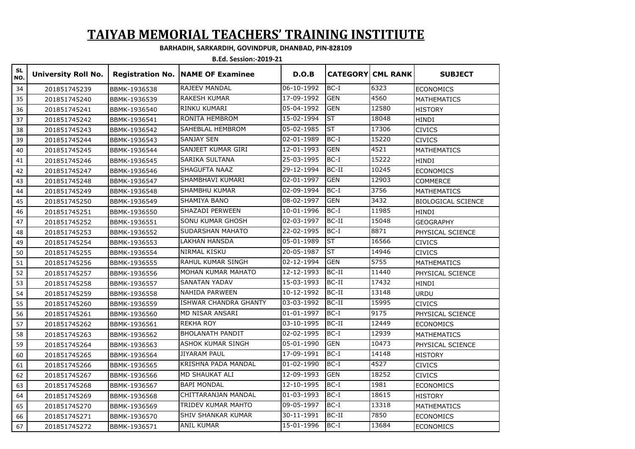# **TAIYAB MEMORIAL TEACHERS' TRAINING INSTITIUTE**

#### **BARHADIH, SARKARDIH, GOVINDPUR, DHANBAD, PIN-828109**

**B.Ed. Session:-2019-21** 

| <b>SL</b><br>NO. | <b>University Roll No.</b> |              | <b>Registration No. NAME OF Examinee</b> | D.O.B      |            | <b>CATEGORYICML RANK</b> | <b>SUBJECT</b>            |
|------------------|----------------------------|--------------|------------------------------------------|------------|------------|--------------------------|---------------------------|
| 34               | 201851745239               | BBMK-1936538 | RAJEEV MANDAL                            | 06-10-1992 | $BC-I$     | 6323                     | <b>ECONOMICS</b>          |
| 35               | 201851745240               | BBMK-1936539 | <b>RAKESH KUMAR</b>                      | 17-09-1992 | <b>GEN</b> | 4560                     | <b>MATHEMATICS</b>        |
| 36               | 201851745241               | BBMK-1936540 | RINKU KUMARI                             | 05-04-1992 | <b>GEN</b> | 12580                    | <b>HISTORY</b>            |
| 37               | 201851745242               | BBMK-1936541 | RONITA HEMBROM                           | 15-02-1994 | <b>ST</b>  | 18048                    | <b>HINDI</b>              |
| 38               | 201851745243               | BBMK-1936542 | SAHEBLAL HEMBROM                         | 05-02-1985 | ST         | 17306                    | <b>CIVICS</b>             |
| 39               | 201851745244               | BBMK-1936543 | SANJAY SEN                               | 02-01-1989 | $BC-I$     | 15220                    | <b>CIVICS</b>             |
| 40               | 201851745245               | BBMK-1936544 | SANJEET KUMAR GIRI                       | 12-01-1993 | <b>GEN</b> | 4521                     | <b>MATHEMATICS</b>        |
| 41               | 201851745246               | BBMK-1936545 | SARIKA SULTANA                           | 25-03-1995 | $BC-I$     | 15222                    | <b>HINDI</b>              |
| 42               | 201851745247               | BBMK-1936546 | SHAGUFTA NAAZ                            | 29-12-1994 | BC-II      | 10245                    | <b>ECONOMICS</b>          |
| 43               | 201851745248               | BBMK-1936547 | SHAMBHAVI KUMARI                         | 02-01-1997 | <b>GEN</b> | 12903                    | <b>COMMERCE</b>           |
| 44               | 201851745249               | BBMK-1936548 | <b>SHAMBHU KUMAR</b>                     | 02-09-1994 | $BC-I$     | 3756                     | <b>MATHEMATICS</b>        |
| 45               | 201851745250               | BBMK-1936549 | SHAMIYA BANO                             | 08-02-1997 | <b>GEN</b> | 3432                     | <b>BIOLOGICAL SCIENCE</b> |
| 46               | 201851745251               | BBMK-1936550 | SHAZADI PERWEEN                          | 10-01-1996 | $BC-I$     | 11985                    | <b>HINDI</b>              |
| 47               | 201851745252               | BBMK-1936551 | SONU KUMAR GHOSH                         | 02-03-1997 | BC-II      | 15048                    | <b>GEOGRAPHY</b>          |
| 48               | 201851745253               | BBMK-1936552 | SUDARSHAN MAHATO                         | 22-02-1995 | $BC-I$     | 8871                     | PHYSICAL SCIENCE          |
| 49               | 201851745254               | BBMK-1936553 | LAKHAN HANSDA                            | 05-01-1989 | <b>ST</b>  | 16566                    | <b>CIVICS</b>             |
| 50               | 201851745255               | BBMK-1936554 | NIRMAL KISKU                             | 20-05-1987 | <b>ST</b>  | 14946                    | <b>CIVICS</b>             |
| 51               | 201851745256               | BBMK-1936555 | RAHUL KUMAR SINGH                        | 02-12-1994 | <b>GEN</b> | 5755                     | <b>MATHEMATICS</b>        |
| 52               | 201851745257               | BBMK-1936556 | MOHAN KUMAR MAHATO                       | 12-12-1993 | BC-II      | 11440                    | PHYSICAL SCIENCE          |
| 53               | 201851745258               | BBMK-1936557 | <b>SANATAN YADAV</b>                     | 15-03-1993 | BC-II      | 17432                    | <b>HINDI</b>              |
| 54               | 201851745259               | BBMK-1936558 | NAHIDA PARWEEN                           | 10-12-1992 | BC-II      | 13148                    | <b>URDU</b>               |
| 55               | 201851745260               | BBMK-1936559 | <b>ISHWAR CHANDRA GHANTY</b>             | 03-03-1992 | BC-II      | 15995                    | <b>CIVICS</b>             |
| 56               | 201851745261               | BBMK-1936560 | MD NISAR ANSARI                          | 01-01-1997 | $BC-I$     | 9175                     | PHYSICAL SCIENCE          |
| 57               | 201851745262               | BBMK-1936561 | <b>REKHA ROY</b>                         | 03-10-1995 | BC-II      | 12449                    | <b>ECONOMICS</b>          |
| 58               | 201851745263               | BBMK-1936562 | <b>BHOLANATH PANDIT</b>                  | 02-02-1995 | $BC-I$     | 12939                    | <b>MATHEMATICS</b>        |
| 59               | 201851745264               | BBMK-1936563 | ASHOK KUMAR SINGH                        | 05-01-1990 | <b>GEN</b> | 10473                    | PHYSICAL SCIENCE          |
| 60               | 201851745265               | BBMK-1936564 | <b>JIYARAM PAUL</b>                      | 17-09-1991 | $BC-I$     | 14148                    | <b>HISTORY</b>            |
| 61               | 201851745266               | BBMK-1936565 | KRISHNA PADA MANDAL                      | 01-02-1990 | $BC-I$     | 4527                     | <b>CIVICS</b>             |
| 62               | 201851745267               | BBMK-1936566 | MD SHAUKAT ALI                           | 12-09-1993 | <b>GEN</b> | 18252                    | <b>CIVICS</b>             |
| 63               | 201851745268               | BBMK-1936567 | <b>BAPI MONDAL</b>                       | 12-10-1995 | $BC-I$     | 1981                     | <b>ECONOMICS</b>          |
| 64               | 201851745269               | BBMK-1936568 | CHITTARANJAN MANDAL                      | 01-03-1993 | $BC-I$     | 18615                    | <b>HISTORY</b>            |
| 65               | 201851745270               | BBMK-1936569 | TRIDEV KUMAR MAHTO                       | 09-05-1997 | $BC-I$     | 13318                    | <b>MATHEMATICS</b>        |
| 66               | 201851745271               | BBMK-1936570 | SHIV SHANKAR KUMAR                       | 30-11-1991 | BC-II      | 7850                     | <b>ECONOMICS</b>          |
| 67               | 201851745272               | BBMK-1936571 | <b>ANIL KUMAR</b>                        | 15-01-1996 | $BC-I$     | 13684                    | <b>ECONOMICS</b>          |